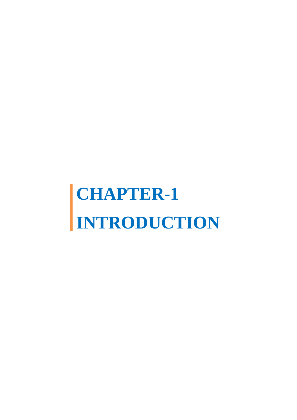# **CHAPTER-1 INTRODUCTION**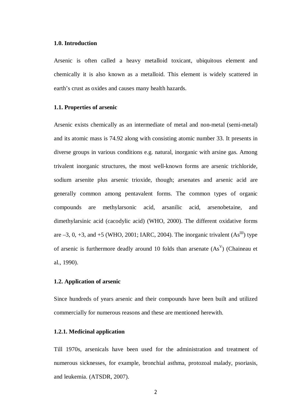## **1.0. Introduction**

Arsenic is often called a heavy metalloid toxicant, ubiquitous element and chemically it is also known as a metalloid. This element is widely scattered in earth's crust as oxides and causes many health hazards.

# **1.1. Properties of arsenic**

Arsenic exists chemically as an intermediate of metal and non-metal (semi-metal) and its atomic mass is 74.92 along with consisting atomic number 33. It presents in diverse groups in various conditions e.g. natural, inorganic with arsine gas. Among trivalent inorganic structures, the most well-known forms are arsenic trichloride, sodium arsenite plus arsenic trioxide, though; arsenates and arsenic acid are generally common among pentavalent forms. The common types of organic compounds are methylarsonic acid, arsanilic acid, arsenobetaine, and dimethylarsinic acid (cacodylic acid) (WHO, 2000). The different oxidative forms are  $-3$ , 0,  $+3$ , and  $+5$  (WHO, 2001; IARC, 2004). The inorganic trivalent  $(As^{III})$  type of arsenic is furthermore deadly around 10 folds than arsenate  $(As<sup>V</sup>)$  (Chaineau et al., 1990).

## **1.2. Application of arsenic**

Since hundreds of years arsenic and their compounds have been built and utilized commercially for numerous reasons and these are mentioned herewith.

## **1.2.1. Medicinal application**

Till 1970s, arsenicals have been used for the administration and treatment of numerous sicknesses, for example, bronchial asthma, protozoal malady, psoriasis, and leukemia. (ATSDR, 2007).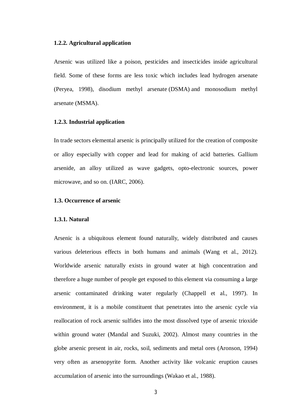#### **1.2.2. Agricultural application**

Arsenic was utilized like a poison, pesticides and insecticides inside agricultural field. Some of these forms are less toxic which includes lead hydrogen arsenate (Peryea, 1998), disodium methyl arsenate (DSMA) and monosodium methyl arsenate (MSMA).

#### **1.2.3. Industrial application**

In trade sectors elemental arsenic is principally utilized for the creation of composite or alloy especially with copper and lead for making of acid batteries. Gallium arsenide, an alloy utilized as wave gadgets, opto-electronic sources, power microwave, and so on. (IARC, 2006).

## **1.3. Occurrence of arsenic**

## **1.3.1. Natural**

Arsenic is a ubiquitous element found naturally, widely distributed and causes various deleterious effects in both humans and animals (Wang et al., 2012). Worldwide arsenic naturally exists in ground water at high concentration and therefore a huge number of people get exposed to this element via consuming a large arsenic contaminated drinking water regularly (Chappell et al., 1997). In environment, it is a mobile constituent that penetrates into the arsenic cycle via reallocation of rock arsenic sulfides into the most dissolved type of arsenic trioxide within ground water (Mandal and Suzuki, 2002). Almost many countries in the globe arsenic present in air, rocks, soil, sediments and metal ores (Aronson, 1994) very often as arsenopyrite form. Another activity like volcanic eruption causes accumulation of arsenic into the surroundings (Wakao et al., 1988).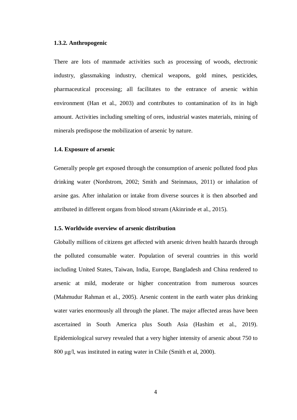## **1.3.2. Anthropogenic**

There are lots of manmade activities such as processing of woods, electronic industry, glassmaking industry, chemical weapons, gold mines, pesticides, pharmaceutical processing; all facilitates to the entrance of arsenic within environment (Han et al., 2003) and contributes to contamination of its in high amount. Activities including smelting of ores, industrial wastes materials, mining of minerals predispose the mobilization of arsenic by nature.

## **1.4. Exposure of arsenic**

Generally people get exposed through the consumption of arsenic polluted food plus drinking water (Nordstrom, 2002; Smith and Steinmaus, 2011) or inhalation of arsine gas. After inhalation or intake from diverse sources it is then absorbed and attributed in different organs from blood stream (Akinrinde et al., 2015).

#### **1.5. Worldwide overview of arsenic distribution**

Globally millions of citizens get affected with arsenic driven health hazards through the polluted consumable water. Population of several countries in this world including United States, Taiwan, India, Europe, Bangladesh and China rendered to arsenic at mild, moderate or higher concentration from numerous sources (Mahmudur Rahman et al., 2005). Arsenic content in the earth water plus drinking water varies enormously all through the planet. The major affected areas have been ascertained in South America plus South Asia (Hashim et al., 2019). Epidemiological survey revealed that a very higher intensity of arsenic about 750 to 800 μg/l, was instituted in eating water in Chile (Smith et al, 2000).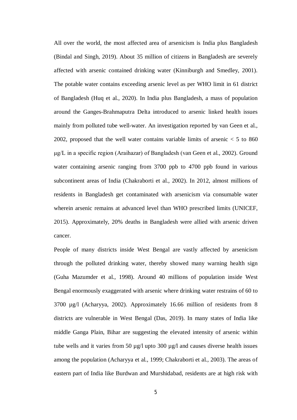All over the world, the most affected area of arsenicism is India plus Bangladesh (Bindal and Singh, 2019). About 35 million of citizens in Bangladesh are severely affected with arsenic contained drinking water (Kinniburgh and Smedley, 2001). The potable water contains exceeding arsenic level as per WHO limit in 61 district of Bangladesh (Huq et al., 2020). In India plus Bangladesh, a mass of population around the Ganges-Brahmaputra Delta introduced to arsenic linked health issues mainly from polluted tube well-water. An investigation reported by van Geen et al., 2002, proposed that the well water contains variable limits of arsenic  $< 5$  to 860 μg/L in a specific region (Araihazar) of Bangladesh (van Geen et al., 2002). Ground water containing arsenic ranging from 3700 ppb to 4700 ppb found in various subcontinent areas of India (Chakraborti et al., 2002). In 2012, almost millions of residents in Bangladesh get contaminated with arsenicism via consumable water wherein arsenic remains at advanced level than WHO prescribed limits (UNICEF, 2015). Approximately, 20% deaths in Bangladesh were allied with arsenic driven cancer.

People of many districts inside West Bengal are vastly affected by arsenicism through the polluted drinking water, thereby showed many warning health sign (Guha Mazumder et al., 1998). Around 40 millions of population inside West Bengal enormously exaggerated with arsenic where drinking water restrains of 60 to 3700 µg/l (Acharyya, 2002). Approximately 16.66 million of residents from 8 districts are vulnerable in West Bengal (Das, 2019). In many states of India like middle Ganga Plain, Bihar are suggesting the elevated intensity of arsenic within tube wells and it varies from 50 µg/l upto 300 µg/l and causes diverse health issues among the population (Acharyya et al., 1999; Chakraborti et al., 2003). The areas of eastern part of India like Burdwan and Murshidabad, residents are at high risk with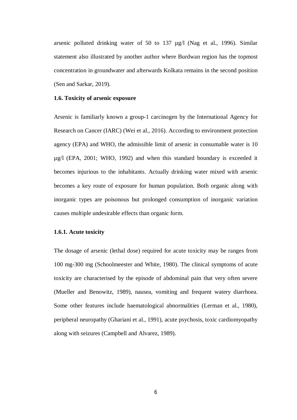arsenic polluted drinking water of 50 to 137 µg/l (Nag et al., 1996). Similar statement also illustrated by another author where Burdwan region has the topmost concentration in groundwater and afterwards Kolkata remains in the second position (Sen and Sarkar, 2019).

## **1.6. Toxicity of arsenic exposure**

Arsenic is familiarly known a group-1 carcinogen by the International Agency for Research on Cancer (IARC) (Wei et al., 2016). According to environment protection agency (EPA) and WHO, the admissible limit of arsenic in consumable water is 10 µg/l (EPA, 2001; WHO, 1992) and when this standard boundary is exceeded it becomes injurious to the inhabitants. Actually drinking water mixed with arsenic becomes a key route of exposure for human population. Both organic along with inorganic types are poisonous but prolonged consumption of inorganic variation causes multiple undesirable effects than organic form.

## **1.6.1. Acute toxicity**

The dosage of arsenic (lethal dose) required for acute toxicity may be ranges from 100 mg-300 mg (Schoolmeester and White, 1980). The clinical symptoms of acute toxicity are characterised by the episode of abdominal pain that very often severe (Mueller and Benowitz, 1989), nausea, vomiting and frequent watery diarrhoea. Some other features include haematological abnormalities (Lerman et al., 1980), peripheral neuropathy (Ghariani et al., 1991), acute psychosis, toxic cardiomyopathy along with seizures (Campbell and Alvarez, 1989).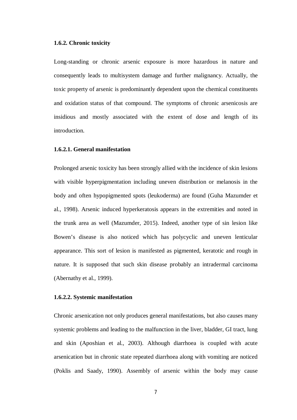## **1.6.2. Chronic toxicity**

Long-standing or chronic arsenic exposure is more hazardous in nature and consequently leads to multisystem damage and further malignancy. Actually, the toxic property of arsenic is predominantly dependent upon the chemical constituents and oxidation status of that compound. The symptoms of chronic arsenicosis are insidious and mostly associated with the extent of dose and length of its introduction.

## **1.6.2.1. General manifestation**

Prolonged arsenic toxicity has been strongly allied with the incidence of skin lesions with visible hyperpigmentation including uneven distribution or melanosis in the body and often hypopigmented spots (leukoderma) are found (Guha Mazumder et al., 1998). Arsenic induced hyperkeratosis appears in the extremities and noted in the trunk area as well (Mazumder, 2015). Indeed, another type of sin lesion like Bowen's disease is also noticed which has polycyclic and uneven lenticular appearance. This sort of lesion is manifested as pigmented, keratotic and rough in nature. It is supposed that such skin disease probably an intradermal carcinoma (Abernathy et al., 1999).

# **1.6.2.2. Systemic manifestation**

Chronic arsenication not only produces general manifestations, but also causes many systemic problems and leading to the malfunction in the liver, bladder, GI tract, lung and skin (Aposhian et al., 2003). Although diarrhoea is coupled with acute arsenication but in chronic state repeated diarrhoea along with vomiting are noticed (Poklis and Saady, 1990). Assembly of arsenic within the body may cause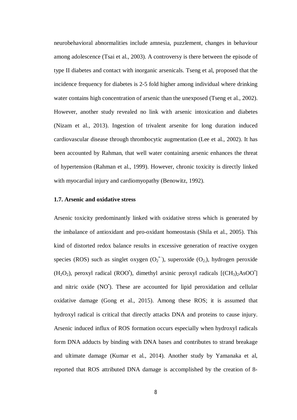neurobehavioral abnormalities include amnesia, puzzlement, changes in behaviour among adolescence (Tsai et al., 2003). A controversy is there between the episode of type II diabetes and contact with inorganic arsenicals. Tseng et al, proposed that the incidence frequency for diabetes is 2-5 fold higher among individual where drinking water contains high concentration of arsenic than the unexposed (Tseng et al., 2002). However, another study revealed no link with arsenic intoxication and diabetes (Nizam et al., 2013). Ingestion of trivalent arsenite for long duration induced cardiovascular disease through thrombocytic augmentation (Lee et al., 2002). It has been accounted by Rahman, that well water containing arsenic enhances the threat of hypertension (Rahman et al., 1999). However, chronic toxicity is directly linked with myocardial injury and cardiomyopathy (Benowitz, 1992).

## **1.7. Arsenic and oxidative stress**

Arsenic toxicity predominantly linked with oxidative stress which is generated by the imbalance of antioxidant and pro-oxidant homeostasis (Shila et al., 2005). This kind of distorted redox balance results in excessive generation of reactive oxygen species (ROS) such as singlet oxygen  $(O_2^{\bullet})$ , superoxide  $(O_2)$ , hydrogen peroxide  $(H_2O_2)$ , peroxyl radical (ROO<sup>\*</sup>), dimethyl arsinic peroxyl radicals  $[(CH_3)_2AsOO^*]$ and nitric oxide (NO<sup>\*</sup>). These are accounted for lipid peroxidation and cellular oxidative damage (Gong et al., 2015). Among these ROS; it is assumed that hydroxyl radical is critical that directly attacks DNA and proteins to cause injury. Arsenic induced influx of ROS formation occurs especially when hydroxyl radicals form DNA adducts by binding with DNA bases and contributes to strand breakage and ultimate damage (Kumar et al., 2014). Another study by Yamanaka et al, reported that ROS attributed DNA damage is accomplished by the creation of 8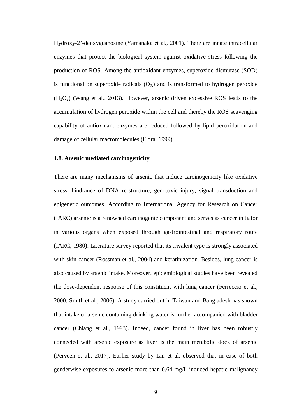Hydroxy-2'-deoxyguanosine (Yamanaka et al., 2001). There are innate intracellular enzymes that protect the biological system against oxidative stress following the production of ROS. Among the antioxidant enzymes, superoxide dismutase (SOD) is functional on superoxide radicals  $(O_2)$  and is transformed to hydrogen peroxide  $(H<sub>2</sub>O<sub>2</sub>)$  (Wang et al., 2013). However, arsenic driven excessive ROS leads to the accumulation of hydrogen peroxide within the cell and thereby the ROS scavenging capability of antioxidant enzymes are reduced followed by lipid peroxidation and damage of cellular macromolecules (Flora, 1999).

## **1.8. Arsenic mediated carcinogenicity**

There are many mechanisms of arsenic that induce carcinogenicity like oxidative stress, hindrance of DNA re-structure, genotoxic injury, signal transduction and epigenetic outcomes. According to International Agency for Research on Cancer (IARC) arsenic is a renowned carcinogenic component and serves as cancer initiator in various organs when exposed through gastrointestinal and respiratory route (IARC, 1980). Literature survey reported that its trivalent type is strongly associated with skin cancer (Rossman et al., 2004) and keratinization. Besides, lung cancer is also caused by arsenic intake. Moreover, epidemiological studies have been revealed the dose-dependent response of this constituent with lung cancer (Ferreccio et al., 2000; Smith et al., 2006). A study carried out in Taiwan and Bangladesh has shown that intake of arsenic containing drinking water is further accompanied with bladder cancer (Chiang et al., 1993). Indeed, cancer found in liver has been robustly connected with arsenic exposure as liver is the main metabolic dock of arsenic (Perveen et al., 2017). Earlier study by Lin et al, observed that in case of both genderwise exposures to arsenic more than 0.64 mg/L induced hepatic malignancy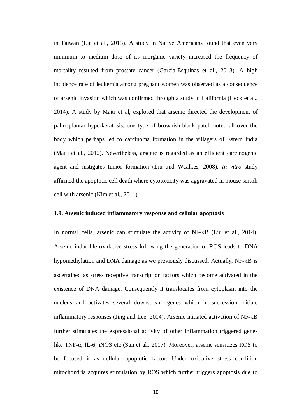in Taiwan (Lin et al., 2013). A study in Native Americans found that even very minimum to medium dose of its inorganic variety increased the frequency of mortality resulted from prostate cancer (Garcia-Esquinas et al., 2013). A high incidence rate of leukemia among pregnant women was observed as a consequence of arsenic invasion which was confirmed through a study in California (Heck et al., 2014). A study by Maiti et al, explored that arsenic directed the development of palmoplantar hyperkeratosis, one type of brownish-black patch noted all over the body which perhaps led to carcinoma formation in the villagers of Estern India (Maiti et al., 2012). Nevertheless, arsenic is regarded as an efficient carcinogenic agent and instigates tumor formation (Liu and Waalkes, 2008). *In vitro* study affirmed the apoptotic cell death where cytotoxicity was aggravated in mouse sertoli cell with arsenic (Kim et al., 2011).

## **1.9. Arsenic induced inflammatory response and cellular apoptosis**

In normal cells, arsenic can stimulate the activity of  $NF-\kappa B$  (Liu et al., 2014). Arsenic inducible oxidative stress following the generation of ROS leads to DNA hypomethylation and DNA damage as we previously discussed. Actually,  $NF-\kappa B$  is ascertained as stress receptive transcription factors which become activated in the existence of DNA damage. Consequently it translocates from cytoplasm into the nucleus and activates several downstream genes which in succession initiate inflammatory responses (Jing and Lee, 2014). Arsenic initiated activation of  $NF$ - $\kappa$ B further stimulates the expressional activity of other inflammation triggered genes like TNF-α, IL-6, iNOS etc (Sun et al., 2017). Moreover, arsenic sensitizes ROS to be focused it as cellular apoptotic factor. Under oxidative stress condition mitochondria acquires stimulation by ROS which further triggers apoptosis due to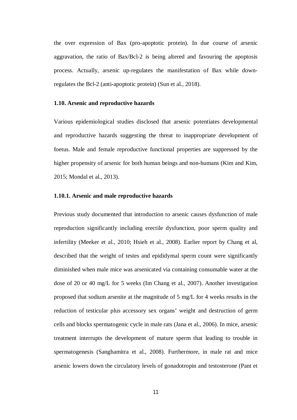the over expression of Bax (pro-apoptotic protein). In due course of arsenic aggravation, the ratio of Bax/Bcl-2 is being altered and favouring the apoptosis process. Actually, arsenic up-regulates the manifestation of Bax while downregulates the Bcl-2 (anti-apoptotic protein) (Sun et al., 2018).

## **1.10. Arsenic and reproductive hazards**

Various epidemiological studies disclosed that arsenic potentiates developmental and reproductive hazards suggesting the threat to inappropriate development of foetus. Male and female reproductive functional properties are suppressed by the higher propensity of arsenic for both human beings and non-humans (Kim and Kim, 2015; Mondal et al., 2013).

## **1.10.1. Arsenic and male reproductive hazards**

Previous study documented that introduction to arsenic causes dysfunction of male reproduction significantly including erectile dysfunction, poor sperm quality and infertility (Meeker et al., 2010; Hsieh et al., 2008). Earlier report by Chang et al, described that the weight of testes and epididymal sperm count were significantly diminished when male mice was arsenicated via containing consumable water at the dose of 20 or 40 mg/L for 5 weeks (Im Chang et al., 2007). Another investigation proposed that sodium arsenite at the magnitude of 5 mg/L for 4 weeks results in the reduction of testicular plus accessory sex organs' weight and destruction of germ cells and blocks spermatogenic cycle in male rats (Jana et al., 2006). In mice, arsenic treatment interrupts the development of mature sperm that leading to trouble in spermatogenesis (Sanghamitra et al., 2008). Furthermore, in male rat and mice arsenic lowers down the circulatory levels of gonadotropin and testosterone (Pant et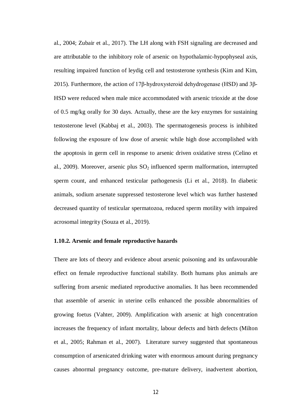al., 2004; Zubair et al., 2017). The LH along with FSH signaling are decreased and are attributable to the inhibitory role of arsenic on hypothalamic-hypophyseal axis, resulting impaired function of leydig cell and testosterone synthesis (Kim and Kim, 2015). Furthermore, the action of 17β-hydroxysteroid dehydrogenase (HSD) and 3β-HSD were reduced when male mice accommodated with arsenic trioxide at the dose of 0.5 mg/kg orally for 30 days. Actually, these are the key enzymes for sustaining testosterone level (Kabbaj et al., 2003). The spermatogenesis process is inhibited following the exposure of low dose of arsenic while high dose accomplished with the apoptosis in germ cell in response to arsenic driven oxidative stress (Celino et al., 2009). Moreover, arsenic plus  $SO_2$  influenced sperm malformation, interrupted sperm count, and enhanced testicular pathogenesis (Li et al., 2018). In diabetic animals, sodium arsenate suppressed testosterone level which was further hastened decreased quantity of testicular spermatozoa, reduced sperm motility with impaired acrosomal integrity (Souza et al., 2019).

## **1.10.2. Arsenic and female reproductive hazards**

There are lots of theory and evidence about arsenic poisoning and its unfavourable effect on female reproductive functional stability. Both humans plus animals are suffering from arsenic mediated reproductive anomalies. It has been recommended that assemble of arsenic in uterine cells enhanced the possible abnormalities of growing foetus (Vahter, 2009). Amplification with arsenic at high concentration increases the frequency of infant mortality, labour defects and birth defects (Milton et al., 2005; Rahman et al., 2007). Literature survey suggested that spontaneous consumption of arsenicated drinking water with enormous amount during pregnancy causes abnormal pregnancy outcome, pre-mature delivery, inadvertent abortion,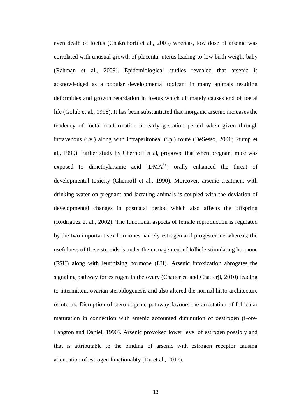even death of foetus (Chakraborti et al., 2003) whereas, low dose of arsenic was correlated with unusual growth of placenta, uterus leading to low birth weight baby (Rahman et al., 2009). Epidemiological studies revealed that arsenic is acknowledged as a popular developmental toxicant in many animals resulting deformities and growth retardation in foetus which ultimately causes end of foetal life (Golub et al., 1998). It has been substantiated that inorganic arsenic increases the tendency of foetal malformation at early gestation period when given through intravenous (i.v.) along with intraperitoneal (i.p.) route (DeSesso, 2001; Stump et al., 1999). Earlier study by Chernoff et al, proposed that when pregnant mice was exposed to dimethylarsinic acid  $(DMA<sup>5+</sup>)$  orally enhanced the threat of developmental toxicity (Chernoff et al., 1990). Moreover, arsenic treatment with drinking water on pregnant and lactating animals is coupled with the deviation of developmental changes in postnatal period which also affects the offspring (Rodriguez et al., 2002). The functional aspects of female reproduction is regulated by the two important sex hormones namely estrogen and progesterone whereas; the usefulness of these steroids is under the management of follicle stimulating hormone (FSH) along with leutinizing hormone (LH). Arsenic intoxication abrogates the signaling pathway for estrogen in the ovary (Chatterjee and Chatterji, 2010) leading to intermittent ovarian steroidogenesis and also altered the normal histo-architecture of uterus. Disruption of steroidogenic pathway favours the arrestation of follicular maturation in connection with arsenic accounted diminution of oestrogen (Gore-Langton and Daniel, 1990). Arsenic provoked lower level of estrogen possibly and that is attributable to the binding of arsenic with estrogen receptor causing attenuation of estrogen functionality (Du et al., 2012).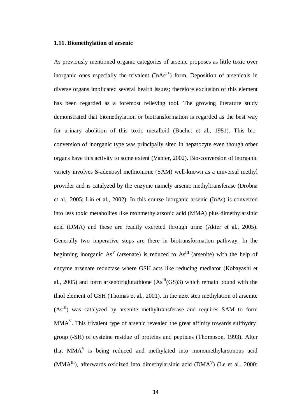## **1.11. Biomethylation of arsenic**

As previously mentioned organic categories of arsenic proposes as little toxic over inorganic ones especially the trivalent  $(InAs<sup>3+</sup>)$  form. Deposition of arsenicals in diverse organs implicated several health issues; therefore exclusion of this element has been regarded as a foremost relieving tool. The growing literature study demonstrated that biomethylation or biotransformation is regarded as the best way for urinary abolition of this toxic metalloid (Buchet et al., 1981). This bioconversion of inorganic type was principally sited in hepatocyte even though other organs have this activity to some extent (Vahter, 2002). Bio-conversion of inorganic variety involves S-adenosyl methionione (SAM) well-known as a universal methyl provider and is catalyzed by the enzyme namely arsenic methyltransferase (Drobna et al., 2005; Lin et al., 2002). In this course inorganic arsenic (InAs) is converted into less toxic metabolites like monmethylarsonic acid (MMA) plus dimethylarsinic acid (DMA) and these are readily excreted through urine (Akter et al., 2005). Generally two imperative steps are there in biotransformation pathway. In the beginning inorganic  $As<sup>V</sup>$  (arsenate) is reduced to  $As<sup>III</sup>$  (arsenite) with the help of enzyme arsenate reductase where GSH acts like reducing mediator (Kobayashi et al., 2005) and form arsenotriglutathione  $(As^{III}(GS)3)$  which remain bound with the thiol element of GSH (Thomas et al., 2001). In the next step methylation of arsenite (AsIII) was catalyzed by arsenite methyltransferase and requires SAM to form  $MMA<sup>V</sup>$ . This trivalent type of arsenic revealed the great affinity towards sulfhydryl group (-SH) of cysteine residue of proteins and peptides (Thompson, 1993). After that  $MMA<sup>V</sup>$  is being reduced and methylated into monomethylarsonous acid  $(MMA<sup>III</sup>)$ , afterwards oxidized into dimethylarsinic acid  $(DMA<sup>V</sup>)$  (Le et al., 2000;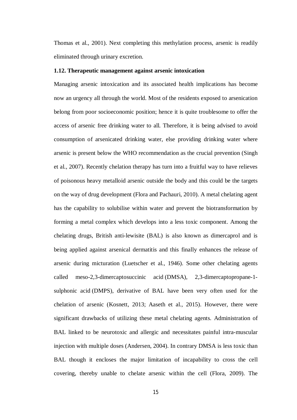Thomas et al., 2001). Next completing this methylation process, arsenic is readily eliminated through urinary excretion.

## **1.12. Therapeutic management against arsenic intoxication**

Managing arsenic intoxication and its associated health implications has become now an urgency all through the world. Most of the residents exposed to arsenication belong from poor socioeconomic position; hence it is quite troublesome to offer the access of arsenic free drinking water to all. Therefore, it is being advised to avoid consumption of arsenicated drinking water, else providing drinking water where arsenic is present below the WHO recommendation as the crucial prevention (Singh et al., 2007). Recently chelation therapy has turn into a fruitful way to have relieves of poisonous heavy metalloid arsenic outside the body and this could be the targets on the way of drug development (Flora and Pachauri, 2010). A metal chelating agent has the capability to solubilise within water and prevent the biotransformation by forming a metal complex which develops into a less toxic component. Among the chelating drugs, British anti-lewisite (BAL) is also known as dimercaprol and is being applied against arsenical dermatitis and this finally enhances the release of arsenic during micturation (Luetscher et al., 1946). Some other chelating agents called meso-2,3-dimercaptosuccinic acid (DMSA), 2,3-dimercaptopropane-1 sulphonic acid (DMPS), derivative of BAL have been very often used for the chelation of arsenic (Kosnett, 2013; Aaseth et al., 2015). However, there were significant drawbacks of utilizing these metal chelating agents. Administration of BAL linked to be neurotoxic and allergic and necessitates painful intra-muscular injection with multiple doses (Andersen, 2004). In contrary DMSA is less toxic than BAL though it encloses the major limitation of incapability to cross the cell covering, thereby unable to chelate arsenic within the cell (Flora, 2009). The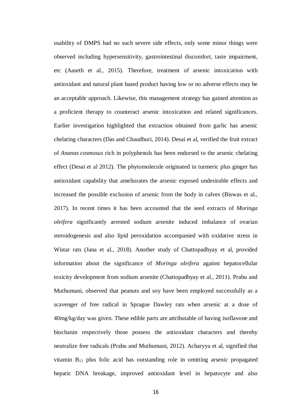usability of DMPS had no such severe side effects, only some minor things were observed including hypersensitivity, gastrointestinal discomfort, taste impairment, etc (Aaseth et al., 2015). Therefore, treatment of arsenic intoxication with antioxidant and natural plant based product having low or no adverse effects may be an acceptable approach. Likewise, this management strategy has gained attention as a proficient therapy to counteract arsenic intoxication and related significances. Earlier investigation highlighted that extraction obtained from garlic has arsenic chelating characters (Das and Chaudhuri, 2014). Desai et al, verified the fruit extract of *Ananas cosmosus* rich in polyphenols has been endorsed to the arsenic chelating effect (Desai et al 2012). The phytomolecule originated in turmeric plus ginger has antioxidant capability that ameliorates the arsenic exposed undesirable effects and increased the possible exclusion of arsenic from the body in calves (Biswas et al., 2017). In recent times it has been accounted that the seed extracts of *Moringa oleifera* significantly arrested sodium arsenite induced imbalance of ovarian steroidogenesis and also lipid peroxidation accompanied with oxidative stress in Wistar rats (Jana et al., 2018). Another study of Chattopadhyay et al, provided information about the significance of *Moringa oleifera* against hepatocellular toxicity development from sodium arsenite (Chattopadhyay et al., 2011). Prabu and Muthumani, observed that peanuts and soy have been employed successfully as a scavenger of free radical in Sprague Dawley rats when arsenic at a dose of 40mg/kg/day was given. These edible parts are attributable of having isoflavone and biochanin respectively those possess the antioxidant characters and thereby neutralize free radicals (Prabu and Muthumani, 2012). Acharyya et al, signified that vitamin B<sup>12</sup> plus folic acid has outstanding role in omitting arsenic propagated hepatic DNA breakage, improved antioxidant level in hepatocyte and also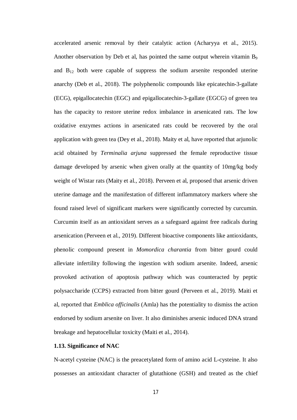accelerated arsenic removal by their catalytic action (Acharyya et al., 2015). Another observation by Deb et al, has pointed the same output wherein vitamin B<sub>9</sub> and  $B_{12}$  both were capable of suppress the sodium arsenite responded uterine anarchy (Deb et al., 2018). The polyphenolic compounds like epicatechin-3-gallate (ECG), epigallocatechin (EGC) and epigallocatechin-3-gallate (EGCG) of green tea has the capacity to restore uterine redox imbalance in arsenicated rats. The low oxidative enzymes actions in arsenicated rats could be recovered by the oral application with green tea (Dey et al., 2018). Maity et al, have reported that arjunolic acid obtained by *Terminalia arjuna* suppressed the female reproductive tissue damage developed by arsenic when given orally at the quantity of 10mg/kg body weight of Wistar rats (Maity et al., 2018). Perveen et al, proposed that arsenic driven uterine damage and the manifestation of different inflammatory markers where she found raised level of significant markers were significantly corrected by curcumin. Curcumin itself as an antioxidant serves as a safeguard against free radicals during arsenication (Perveen et al., 2019). Different bioactive components like antioxidants, phenolic compound present in *Momordica charantia* from bitter gourd could alleviate infertility following the ingestion with sodium arsenite. Indeed, arsenic provoked activation of apoptosis pathway which was counteracted by peptic polysaccharide (CCPS) extracted from bitter gourd (Perveen et al., 2019). Maiti et al, reported that *Emblica officinalis* (Amla) has the potentiality to dismiss the action endorsed by sodium arsenite on liver. It also diminishes arsenic induced DNA strand breakage and hepatocellular toxicity (Maiti et al., 2014).

# **1.13. Significance of NAC**

N-acetyl cysteine (NAC) is the preacetylated form of amino acid L-cysteine. It also possesses an antioxidant character of glutathione (GSH) and treated as the chief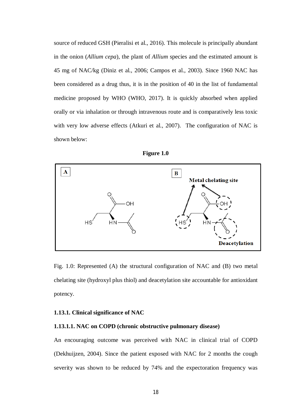source of reduced GSH (Pieralisi et al., 2016). This molecule is principally abundant in the onion (*Allium cepa*), the plant of *Allium* species and the estimated amount is 45 mg of NAC/kg (Diniz et al., 2006; Campos et al., 2003). Since 1960 NAC has been considered as a drug thus, it is in the position of 40 in the list of fundamental medicine proposed by WHO (WHO, 2017). It is quickly absorbed when applied orally or via inhalation or through intravenous route and is comparatively less toxic with very low adverse effects (Atkuri et al., 2007). The configuration of NAC is shown below:





Fig. 1.0: Represented (A) the structural configuration of NAC and (B) two metal chelating site (hydroxyl plus thiol) and deacetylation site accountable for antioxidant potency.

## **1.13.1. Clinical significance of NAC**

## **1.13.1.1. NAC on COPD (chronic obstructive pulmonary disease)**

An encouraging outcome was perceived with NAC in clinical trial of COPD (Dekhuijzen, 2004). Since the patient exposed with NAC for 2 months the cough severity was shown to be reduced by 74% and the expectoration frequency was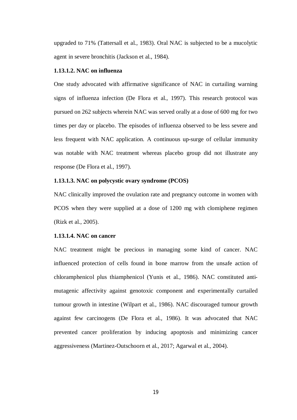upgraded to 71% (Tattersall et al., 1983). Oral NAC is subjected to be a mucolytic agent in severe bronchitis (Jackson et al., 1984).

# **1.13.1.2. NAC on influenza**

One study advocated with affirmative significance of NAC in curtailing warning signs of influenza infection (De Flora et al., 1997). This research protocol was pursued on 262 subjects wherein NAC was served orally at a dose of 600 mg for two times per day or placebo. The episodes of influenza observed to be less severe and less frequent with NAC application. A continuous up-surge of cellular immunity was notable with NAC treatment whereas placebo group did not illustrate any response (De Flora et al., 1997).

## **1.13.1.3. NAC on polycystic ovary syndrome (PCOS)**

NAC clinically improved the ovulation rate and pregnancy outcome in women with PCOS when they were supplied at a dose of 1200 mg with clomiphene regimen (Rizk et al., 2005).

## **1.13.1.4. NAC on cancer**

NAC treatment might be precious in managing some kind of cancer. NAC influenced protection of cells found in bone marrow from the unsafe action of chloramphenicol plus thiamphenicol (Yunis et al., 1986). NAC constituted antimutagenic affectivity against genotoxic component and experimentally curtailed tumour growth in intestine (Wilpart et al., 1986). NAC discouraged tumour growth against few carcinogens (De Flora et al., 1986). It was advocated that NAC prevented cancer proliferation by inducing apoptosis and minimizing cancer aggressiveness (Martinez-Outschoorn et al., 2017; Agarwal et al., 2004).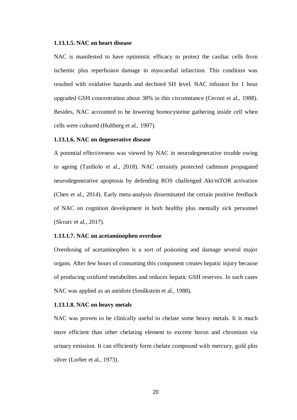## **1.13.1.5. NAC on heart disease**

NAC is manifested to have optimistic efficacy to protect the cardiac cells from ischemic plus reperfusion damage in myocardial infarction. This condition was resulted with oxidative hazards and declined SH level. NAC infusion for 1 hour upgraded GSH concentration about 38% in this circumstance (Ceconi et al., 1988). Besides, NAC accounted to be lowering homocysteine gathering inside cell when cells were cultured (Hultberg et al., 1997).

# **1.13.1.6. NAC on degenerative disease**

A potential effectiveness was viewed by NAC in neurodegenerative trouble owing to ageing (Tardiolo et al., 2018). NAC certainly protected cadmium propagated neurodegenerative apoptosis by defending ROS challenged Akt/mTOR activation (Chen et al., 2014). Early meta-analysis disseminated the certain positive feedback of NAC on cognition development in both healthy plus mentally sick personnel (Skvarc et al., 2017).

# **1.13.1.7. NAC on acetaminophen overdose**

Overdosing of acetaminophen is a sort of poisoning and damage several major organs. After few hours of consuming this component creates hepatic injury because of producing oxidized metabolites and reduces hepatic GSH reserves. In such cases NAC was applied as an antidote (Smilkstein et al., 1988).

## **1.13.1.8. NAC on heavy metals**

NAC was proven to be clinically useful to chelate some heavy metals. It is much more efficient than other chelating element to excrete boron and chromium via urinary emission. It can efficiently form chelate compound with mercury, gold plus silver (Lorber et al., 1973).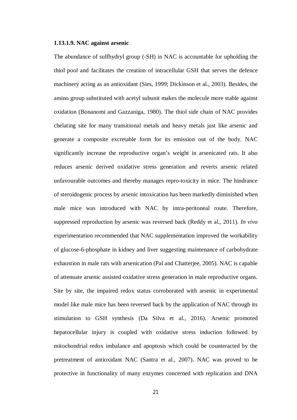## **1.13.1.9. NAC against arsenic**

The abundance of sulfhydryl group (-SH) in NAC is accountable for upholding the thiol pool and facilitates the creation of intracellular GSH that serves the defence machinery acting as an antioxidant (Sies, 1999; Dickinson et al., 2003). Besides, the amino group substituted with acetyl subunit makes the molecule more stable against oxidation (Bonanomi and Gazzaniga, 1980). The thiol side chain of NAC provides chelating site for many transitional metals and heavy metals just like arsenic and generate a composite excretable form for its emission out of the body. NAC significantly increase the reproductive organ's weight in arsenicated rats. It also reduces arsenic derived oxidative stress generation and reverts arsenic related unfavourable outcomes and thereby manages repro-toxicity in mice. The hindrance of steroidogenic process by arsenic intoxication has been markedly diminished when male mice was introduced with NAC by intra-peritoneal route. Therefore, suppressed reproduction by arsenic was reversed back (Reddy et al., 2011). *In vivo* experimentation recommended that NAC supplementation improved the workability of glucose-6-phosphate in kidney and liver suggesting maintenance of carbohydrate exhaustion in male rats with arsenication (Pal and Chatterjee, 2005). NAC is capable of attenuate arsenic assisted oxidative stress generation in male reproductive organs. Site by site, the impaired redox status corroborated with arsenic in experimental model like male mice has been reversed back by the application of NAC through its stimulation to GSH synthesis (Da Silva et al., 2016). Arsenic promoted hepatocellular injury is coupled with oxidative stress induction followed by mitochondrial redox imbalance and apoptosis which could be counteracted by the pretreatment of antioxidant NAC (Santra et al., 2007). NAC was proved to be protective in functionality of many enzymes concerned with replication and DNA